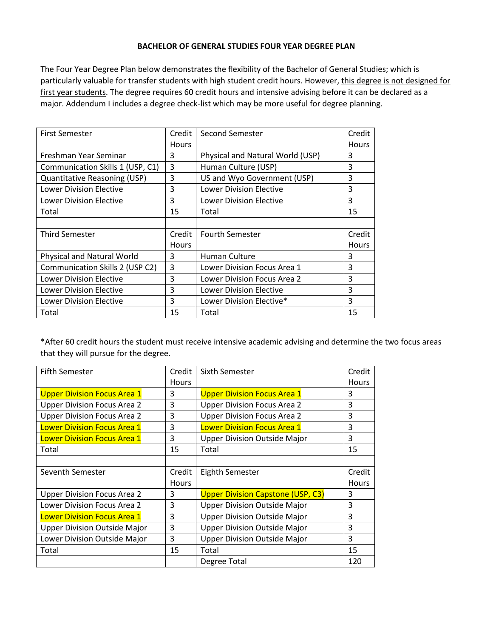## **BACHELOR OF GENERAL STUDIES FOUR YEAR DEGREE PLAN**

The Four Year Degree Plan below demonstrates the flexibility of the Bachelor of General Studies; which is particularly valuable for transfer students with high student credit hours. However, this degree is not designed for first year students. The degree requires 60 credit hours and intensive advising before it can be declared as a major. Addendum I includes a degree check-list which may be more useful for degree planning.

| Credit       | Second Semester                  | Credit       |
|--------------|----------------------------------|--------------|
| Hours        |                                  | <b>Hours</b> |
| 3            | Physical and Natural World (USP) | 3            |
| 3            | Human Culture (USP)              | 3            |
| 3            | US and Wyo Government (USP)      | 3            |
| 3            | <b>Lower Division Elective</b>   | 3            |
| 3            | <b>Lower Division Elective</b>   | 3            |
| 15           | Total                            | 15           |
|              |                                  |              |
| Credit       | <b>Fourth Semester</b>           | Credit       |
| <b>Hours</b> |                                  | <b>Hours</b> |
| 3            | Human Culture                    | 3            |
| 3            | Lower Division Focus Area 1      | 3            |
| 3            | Lower Division Focus Area 2      | 3            |
| 3            | <b>Lower Division Elective</b>   | 3            |
| 3            | Lower Division Elective*         | 3            |
| 15           | Total                            | 15           |
|              |                                  |              |

\*After 60 credit hours the student must receive intensive academic advising and determine the two focus areas that they will pursue for the degree.

| <b>Fifth Semester</b>               | Credit       | Sixth Semester                           | Credit       |
|-------------------------------------|--------------|------------------------------------------|--------------|
|                                     | Hours        |                                          | <b>Hours</b> |
| <b>Upper Division Focus Area 1</b>  | 3            | <b>Upper Division Focus Area 1</b>       | 3            |
| <b>Upper Division Focus Area 2</b>  | 3            | <b>Upper Division Focus Area 2</b>       | 3            |
| <b>Upper Division Focus Area 2</b>  | 3            | <b>Upper Division Focus Area 2</b>       | 3            |
| <b>Lower Division Focus Area 1</b>  | 3            | <b>Lower Division Focus Area 1</b>       | 3            |
| <b>Lower Division Focus Area 1</b>  | 3            | <b>Upper Division Outside Major</b>      | 3            |
| Total                               | 15           | Total                                    | 15           |
|                                     |              |                                          |              |
|                                     |              |                                          |              |
| Seventh Semester                    | Credit       | <b>Eighth Semester</b>                   | Credit       |
|                                     | <b>Hours</b> |                                          | <b>Hours</b> |
| <b>Upper Division Focus Area 2</b>  | 3            | <b>Upper Division Capstone (USP, C3)</b> | 3            |
| Lower Division Focus Area 2         | 3            | <b>Upper Division Outside Major</b>      | 3            |
| <b>Lower Division Focus Area 1</b>  | 3            | <b>Upper Division Outside Major</b>      | 3            |
| <b>Upper Division Outside Major</b> | 3            | <b>Upper Division Outside Major</b>      | 3            |
| Lower Division Outside Major        | 3            | <b>Upper Division Outside Major</b>      | 3            |
| Total                               | 15           | Total                                    | 15           |